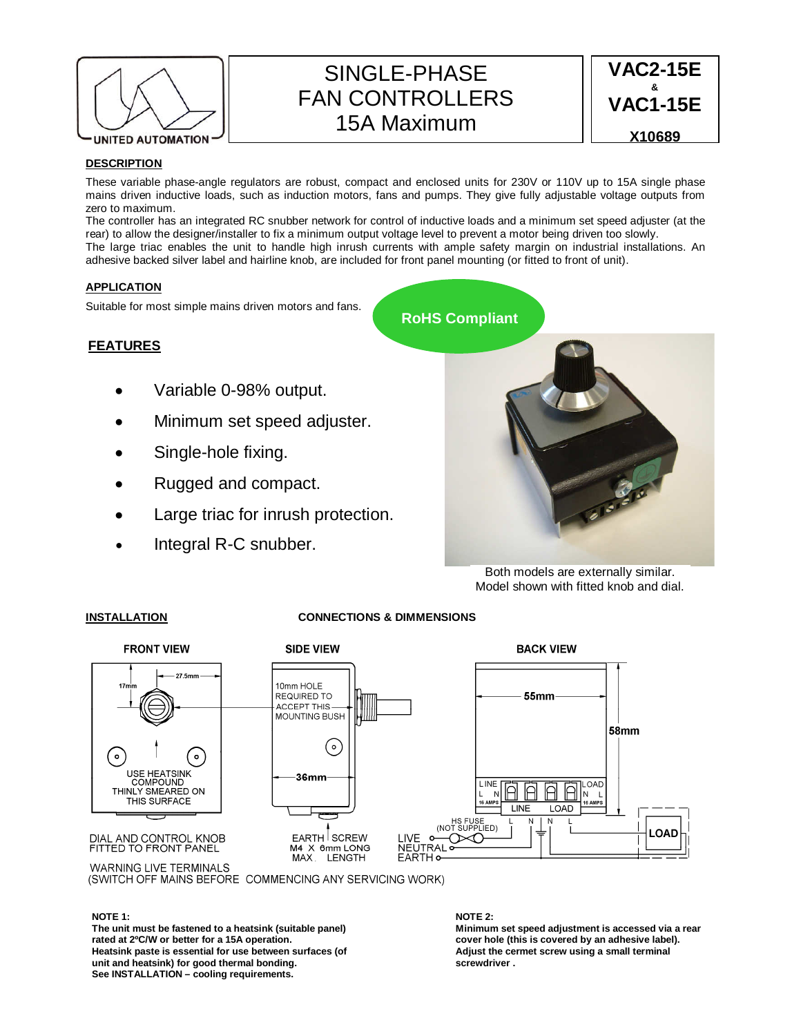

# SINGLE-PHASE FAN CONTROLLERS 15A Maximum

**VAC2-15E & VAC1-15E X10689**

### **DESCRIPTION**

These variable phase-angle regulators are robust, compact and enclosed units for 230V or 110V up to 15A single phase mains driven inductive loads, such as induction motors, fans and pumps. They give fully adjustable voltage outputs from zero to maximum.

The controller has an integrated RC snubber network for control of inductive loads and a minimum set speed adjuster (at the rear) to allow the designer/installer to fix a minimum output voltage level to prevent a motor being driven too slowly. The large triac enables the unit to handle high inrush currents with ample safety margin on industrial installations. An adhesive backed silver label and hairline knob, are included for front panel mounting (or fitted to front of unit).

## **APPLICATION**

Suitable for most simple mains driven motors and fans.

### **FEATURES**

- Variable 0-98% output.
- Minimum set speed adjuster.
- Single-hole fixing.
- Rugged and compact.
- Large triac for inrush protection.
- Integral R-C snubber.



Both models are externally similar. Model shown with fitted knob and dial.

#### **INSTALLATION CONNECTIONS & DIMMENSIONS**



(SWITCH OFF MAINS BEFORE COMMENCING ANY SERVICING WORK)

#### **NOTE 1:**

**The unit must be fastened to a heatsink (suitable panel) rated at 2ºC/W or better for a 15A operation. Heatsink paste is essential for use between surfaces (of unit and heatsink) for good thermal bonding. See INSTALLATION – cooling requirements.** 

#### **NOTE 2:**

**Minimum set speed adjustment is accessed via a rear cover hole (this is covered by an adhesive label). Adjust the cermet screw using a small terminal screwdriver .**